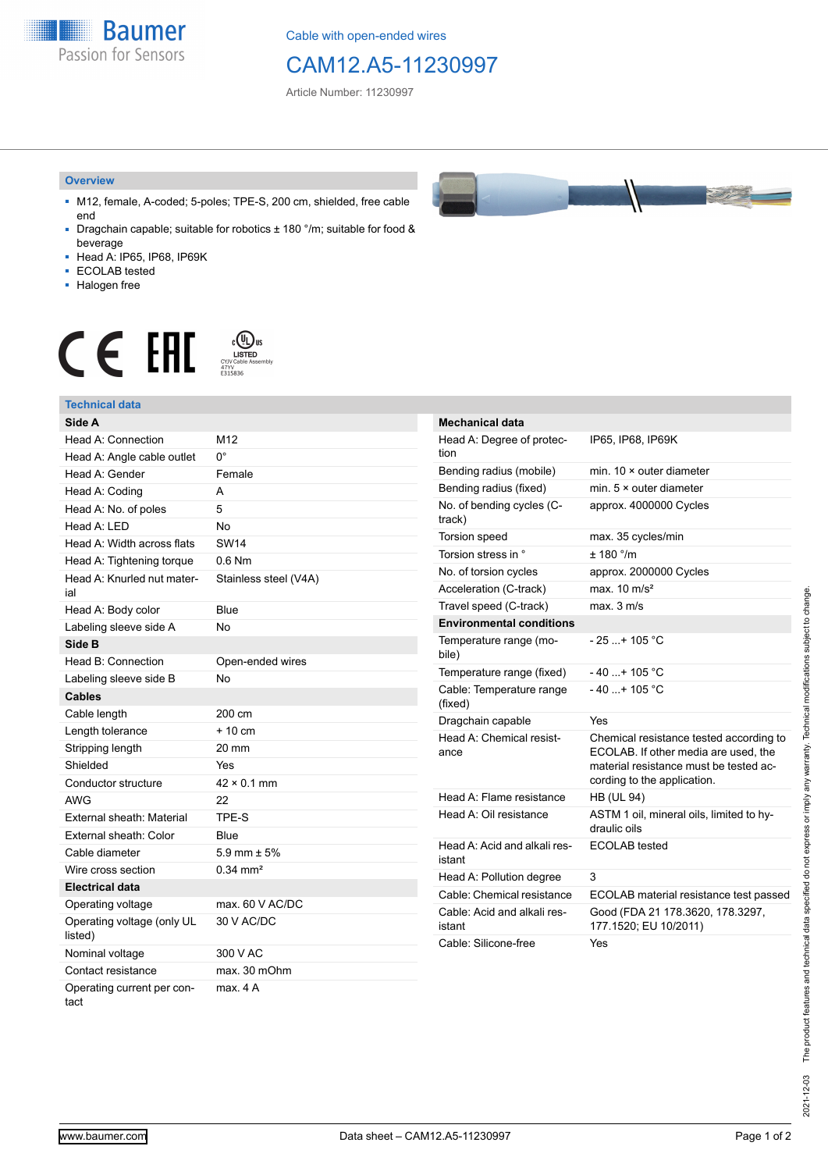**Baumer** Passion for Sensors

Cable with open-ended wires

## CAM12.A5-11230997

Article Number: 11230997

#### **Overview**

- M12, female, A-coded; 5-poles; TPE-S, 200 cm, shielded, free cable end
- Dragchain capable; suitable for robotics ± 180 °/m; suitable for food & beverage
- Head A: IP65, IP68, IP69K
- ECOLAB tested
- Halogen free

# $\displaystyle \bigoplus_{\substack{\text{CVD}\\\text{CVD Cable Assen}\ \text{47YY}\\\text{6315836}}} \mathsf{US}$ CE EAL

#### **Technical data**

| Side A                                |                       |
|---------------------------------------|-----------------------|
| Head A: Connection                    | M12                   |
| Head A: Angle cable outlet            | 0°                    |
| Head A: Gender                        | Female                |
| Head A: Coding                        | A                     |
| Head A: No. of poles                  | 5                     |
| Head A: LED                           | <b>No</b>             |
| Head A: Width across flats            | <b>SW14</b>           |
| Head A: Tightening torque             | $0.6$ Nm              |
| Head A: Knurled nut mater-<br>ial     | Stainless steel (V4A) |
| Head A: Body color                    | Blue                  |
| Labeling sleeve side A                | <b>No</b>             |
| Side B                                |                       |
| Head B: Connection                    | Open-ended wires      |
| Labeling sleeve side B                | No                    |
| <b>Cables</b>                         |                       |
| Cable length                          | 200 cm                |
| Length tolerance                      | $+10$ cm              |
| Stripping length                      | 20 mm                 |
| Shielded                              | Yes                   |
| Conductor structure                   | $42 \times 0.1$ mm    |
| AWG                                   | 22                    |
| External sheath: Material             | TPE-S                 |
| External sheath: Color                | Blue                  |
| Cable diameter                        | 5.9 mm $\pm$ 5%       |
| Wire cross section                    | $0.34 \text{ mm}^2$   |
| <b>Electrical data</b>                |                       |
| Operating voltage                     | max. 60 V AC/DC       |
| Operating voltage (only UL<br>listed) | 30 V AC/DC            |
| Nominal voltage                       | 300 V AC              |
| Contact resistance                    | max. 30 mOhm          |
| Operating current per con-<br>tact    | $max$ 4 A             |

| <b>Mechanical data</b>              |                                  |
|-------------------------------------|----------------------------------|
| Head A: Degree of protec-<br>tion   | IP65, IP68, IP69K                |
| Bending radius (mobile)             | $min$ 10 $\times$ outer diameter |
| Bending radius (fixed)              | min. $5 \times$ outer diameter   |
| No. of bending cycles (C-<br>track) | approx. 4000000 Cycles           |
| Torsion speed                       | max. 35 cycles/min               |
| Torsion stress in °                 | ± 180 °/m                        |
| No. of torsion cycles               | approx. 2000000 Cycles           |
| Acceleration (C-track)              | max $10 \text{ m/s}^2$           |
| Travel speed (C-track)              | max. 3 m/s                       |
| <b>Environmental conditions</b>     |                                  |
| Temperature range (mo-<br>bile)     | $-25$ + 105 °C                   |
| Temperature range (fixed)           | $-40$ + 105 °C                   |
| Cable: Temperature range<br>(fixed) | $-40$ + 105 °C                   |

| (lixed)                                |                                                                                                                                                          |
|----------------------------------------|----------------------------------------------------------------------------------------------------------------------------------------------------------|
| Dragchain capable                      | Yes                                                                                                                                                      |
| Head A: Chemical resist-<br>ance       | Chemical resistance tested according to<br>ECOLAB. If other media are used, the<br>material resistance must be tested ac-<br>cording to the application. |
| Head A: Flame resistance               | <b>HB (UL 94)</b>                                                                                                                                        |
| Head A: Oil resistance                 | ASTM 1 oil, mineral oils, limited to hy-<br>draulic oils                                                                                                 |
| Head A: Acid and alkali res-<br>istant | ECOLAB tested                                                                                                                                            |
| Head A: Pollution degree               | 3                                                                                                                                                        |
| Cable: Chemical resistance             | ECOLAB material resistance test passed                                                                                                                   |
| Cable: Acid and alkali res-<br>istant  | Good (FDA 21 178.3620, 178.3297,<br>177.1520; EU 10/2011)                                                                                                |
| Cable: Silicone-free                   | Yes                                                                                                                                                      |